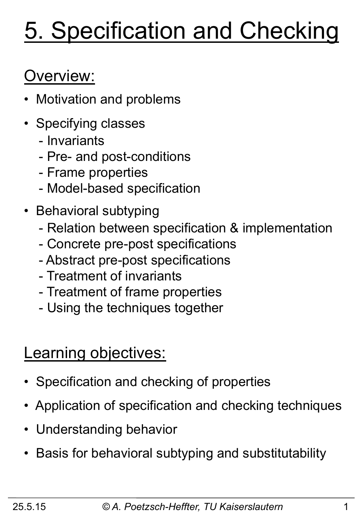# 5. Specification and Checking

## Overview:

- Motivation and problems
- Specifying classes
	- Invariants
	- Pre- and post-conditions
	- Frame properties
	- Model-based specification
- Behavioral subtyping
	- Relation between specification & implementation
	- Concrete pre-post specifications
	- Abstract pre-post specifications
	- Treatment of invariants
	- Treatment of frame properties
	- Using the techniques together

### Learning objectives:

- Specification and checking of properties
- Application of specification and checking techniques
- Understanding behavior
- Basis for behavioral subtyping and substitutability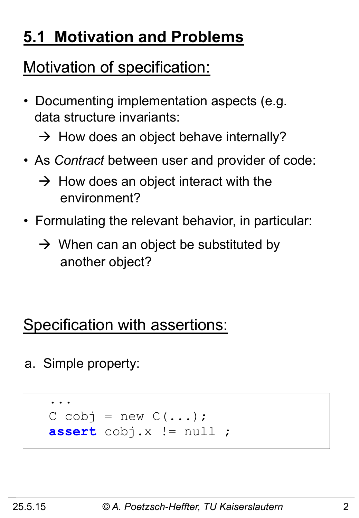## **5.1 Motivation and Problems**

## Motivation of specification:

- Documenting implementation aspects (e.g. data structure invariants:
	- $\rightarrow$  How does an object behave internally?
- As *Contract* between user and provider of code:
	- $\rightarrow$  How does an object interact with the environment?
- Formulating the relevant behavior, in particular:
	- $\rightarrow$  When can an object be substituted by another object?

## Specification with assertions:

a. Simple property:

```
 ... 
   C cobj = new C(\ldots); assert cobj.x != null ;
```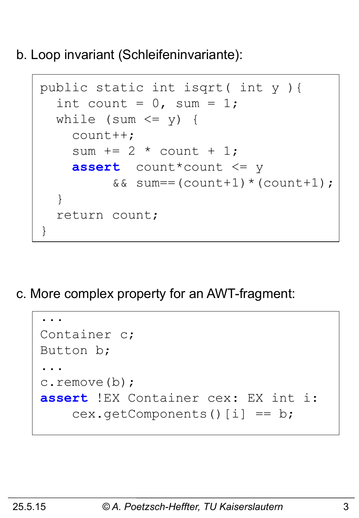b. Loop invariant (Schleifeninvariante):

```
 public static int isqrt( int y ){ 
     int count = 0, sum = 1;
     while (sum \leq y) {
        count++; 
       sum += 2 * count + 1; assert count*count <= y 
             &\&\; sum==(count+1)*(count+1); } 
      return count; 
    }
```
c. More complex property for an AWT-fragment:

```
 ... 
    Container c; 
    Button b; 
 ... 
    c.remove(b); 
    assert !EX Container cex: EX int i: 
       cex.getComponents()[i] == b;
```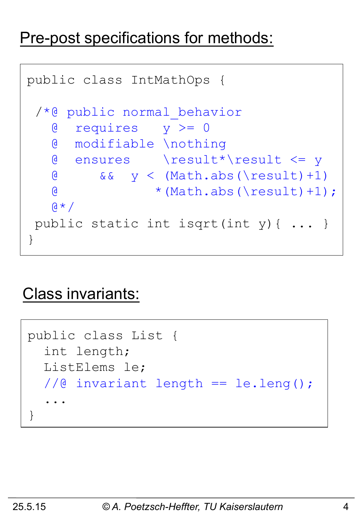### Pre-post specifications for methods:

```
public class IntMathOps { 
  /*@ public normal_behavior
    @ requires y >= 0 
    @ modifiable \nothing 
    @ ensures \result*\result <= y 
   \& & \& y < (Math.abs(\result)+1)
   \& * (Math.abs(\result)+1);
   \alpha \star / public static int isqrt(int y){ ... } 
}
```
### Class invariants:

```
 public class List { 
    int length; 
    ListElems le; 
    //@ invariant length == le.leng(); 
 ... 
  }
```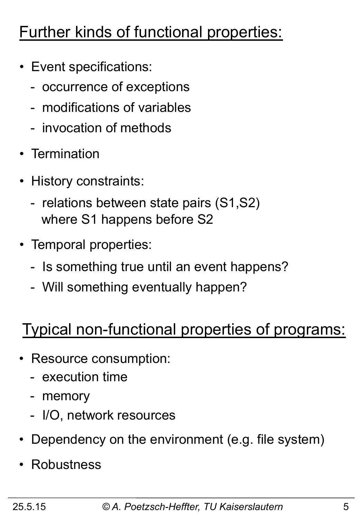## Further kinds of functional properties:

- Event specifications:
	- occurrence of exceptions
	- modifications of variables
	- invocation of methods
- Termination
- History constraints:
	- relations between state pairs (S1,S2) where S1 happens before S2
- Temporal properties:
	- Is something true until an event happens?
	- Will something eventually happen?

### Typical non-functional properties of programs:

- Resource consumption:
	- execution time
	- memory
	- I/O, network resources
- Dependency on the environment (e.g. file system)
- Robustness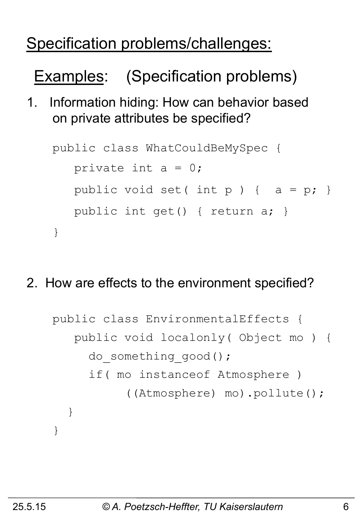## Specification problems/challenges:

Examples: (Specification problems)

1. Information hiding: How can behavior based on private attributes be specified?

```
public class WhatCouldBeMySpec { 
   private int a = 0;
   public void set( int p ) { a = p; }
    public int get() { return a; } 
}
```
2. How are effects to the environment specified?

```
public class EnvironmentalEffects { 
    public void localonly( Object mo ) { 
     do something good();
      if( mo instanceof Atmosphere ) 
            ((Atmosphere) mo).pollute(); 
   } 
}
```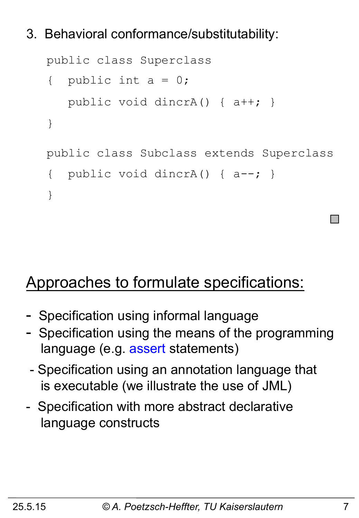### 3. Behavioral conformance/substitutability:

```
public class Superclass 
{ public int a = 0;
    public void dincrA() { a++; } 
} 
public class Subclass extends Superclass 
{ public void dincrA() { a--; }
}
```
### Approaches to formulate specifications:

- Specification using informal language
- Specification using the means of the programming language (e.g. assert statements)
- Specification using an annotation language that is executable (we illustrate the use of JML)
- Specification with more abstract declarative language constructs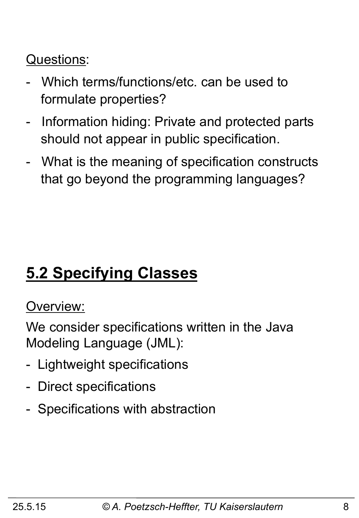### Questions:

- Which terms/functions/etc. can be used to formulate properties?
- Information hiding: Private and protected parts should not appear in public specification.
- What is the meaning of specification constructs that go beyond the programming languages?

## **5.2 Specifying Classes**

#### Overview:

We consider specifications written in the Java Modeling Language (JML):

- Lightweight specifications
- Direct specifications
- Specifications with abstraction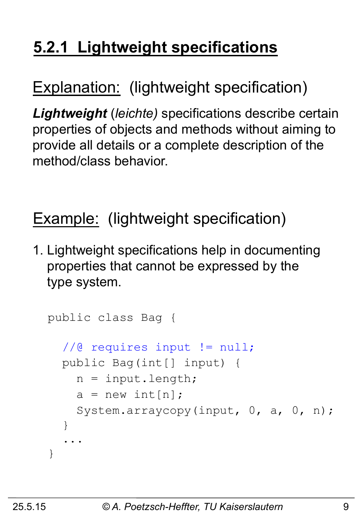## **5.2.1 Lightweight specifications**

### Explanation: (lightweight specification)

*Lightweight* (*leichte)* specifications describe certain properties of objects and methods without aiming to provide all details or a complete description of the method/class behavior.

### Example: (lightweight specification)

1. Lightweight specifications help in documenting properties that cannot be expressed by the type system.

```
public class Bag { 
   //@ requires input != null; 
   public Bag(int[] input) { 
    n = input.length;a = new int[n];System.arraycopy(input, 0, a, 0, n);
   } 
 ... 
}
```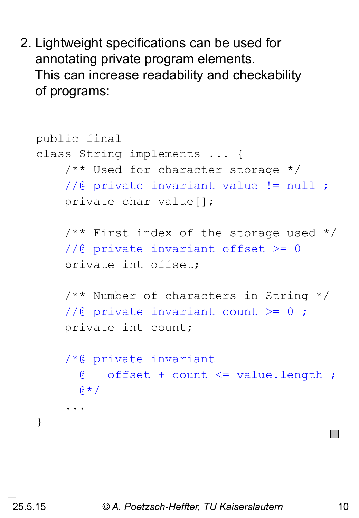2. Lightweight specifications can be used for annotating private program elements. This can increase readability and checkability of programs:

```
public final 
class String implements ... { 
     /** Used for character storage */ 
     //@ private invariant value != null ; 
     private char value[]; 
     /** First index of the storage used */ 
     //@ private invariant offset >= 0 
     private int offset; 
     /** Number of characters in String */ 
    //@ private invariant count >= 0;
     private int count; 
     /*@ private invariant 
       @ offset + count <= value.length ; 
      \beta * /
 ... 
}
```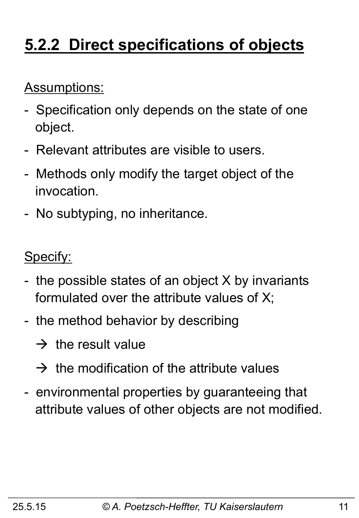## **5.2.2 Direct specifications of objects**

### Assumptions:

- Specification only depends on the state of one object.
- Relevant attributes are visible to users.
- Methods only modify the target object of the invocation.
- No subtyping, no inheritance.

### Specify:

- the possible states of an object X by invariants formulated over the attribute values of X;
- the method behavior by describing
	- $\rightarrow$  the result value
	- $\rightarrow$  the modification of the attribute values
- environmental properties by guaranteeing that attribute values of other objects are not modified.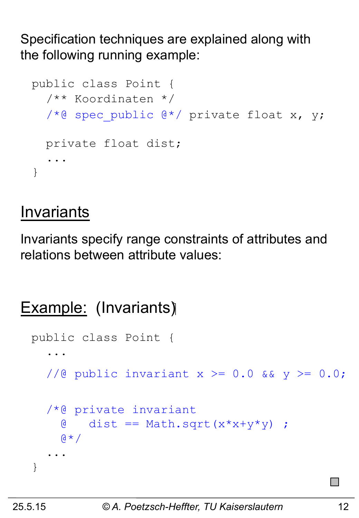Specification techniques are explained along with the following running example:

```
public class Point { 
   /** Koordinaten */ 
  /*@ spec public @*/ private float x, y;
   private float dist; 
 ... 
}
```
### **Invariants**

Invariants specify range constraints of attributes and relations between attribute values:

```
Example: (Invariants)
```

```
public class Point { 
 ... 
  //@ public invariant x \ge 0.0 && y \ge 0.0;
   /*@ private invariant 
    \theta dist == Math.sqrt(x*x+y*y) ;
    \beta * /
 ... 
}
```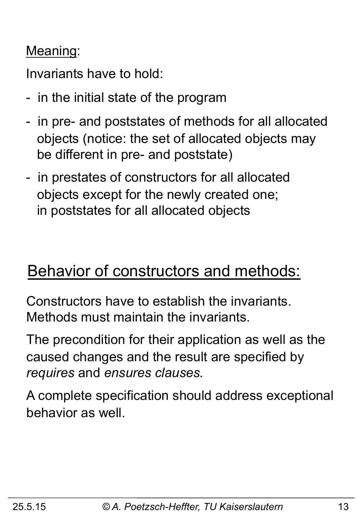### Meaning:

Invariants have to hold:

- in the initial state of the program
- in pre- and poststates of methods for all allocated objects (notice: the set of allocated objects may be different in pre- and poststate)
- in prestates of constructors for all allocated objects except for the newly created one; in poststates for all allocated objects

### Behavior of constructors and methods:

Constructors have to establish the invariants. Methods must maintain the invariants.

The precondition for their application as well as the caused changes and the result are specified by *requires* and *ensures clauses.* 

A complete specification should address exceptional behavior as well.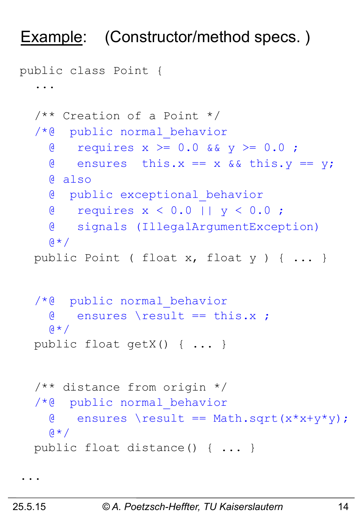### Example: (Constructor/method specs.)

```
public class Point { 
   ... 
   /** Creation of a Point */ 
   /*@ public normal_behavior
    \alpha requires x >= 0.0 && y >= 0.0;
    \theta ensures this.x == x && this.y == y;
     @ also 
     @ public exceptional_behavior
     @ requires x < 0.0 || y < 0.0 ; 
     @ signals (IllegalArgumentException) 
    (4 \times 1) public Point ( float x, float y ) { ... } 
   /*@ public normal_behavior
     @ ensures \result == this.x ; 
    Q \star / public float getX() { ... } 
   /** distance from origin */ 
   /*@ public normal_behavior
    \theta ensures \result == Math.sqrt(x*x+y*y);
    Q \star / public float distance() { ... }
```
...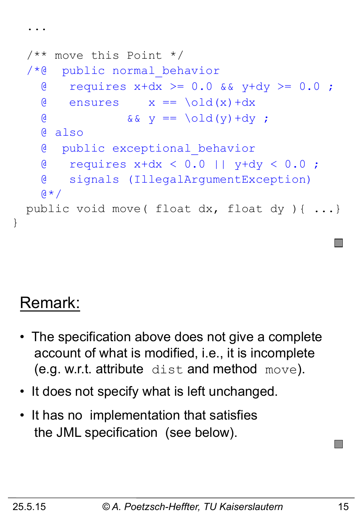```
 /** move this Point */ 
 /*@ public normal_behavior
  \theta requires x+dx >= 0.0 && y+dy >= 0.0;
  \theta ensures x == \text{old}(x) + dx& \& \& \& \& \& \end{array} == \old(y) +dy ;
   @ also 
   @ public exceptional_behavior
   @ requires x+dx < 0.0 || y+dy < 0.0 ; 
   @ signals (IllegalArgumentException) 
  \theta \star / public void move( float dx, float dy ){ ...}
```
## Remark:

}

...

- The specification above does not give a complete account of what is modified, i.e., it is incomplete (e.g. w.r.t. attribute dist and method move).
- It does not specify what is left unchanged.
- It has no implementation that satisfies the JML specification (see below).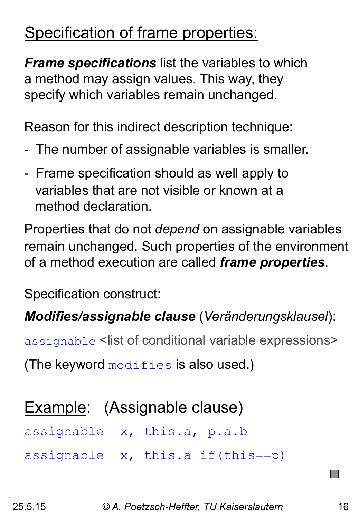## Specification of frame properties:

*Frame specifications* list the variables to which a method may assign values. This way, they specify which variables remain unchanged.

Reason for this indirect description technique:

- The number of assignable variables is smaller.
- Frame specification should as well apply to variables that are not visible or known at a method declaration.

Properties that do not *depend* on assignable variables remain unchanged. Such properties of the environment of a method execution are called *frame properties*.

Specification construct:

*Modifies/assignable clause* (*Veränderungsklausel*):

assignable <list of conditional variable expressions>

(The keyword  $\text{modifies}$  is also used.)

### Example: (Assignable clause)

assignable x, this.a, p.a.b

assignable x, this.a if(this==p)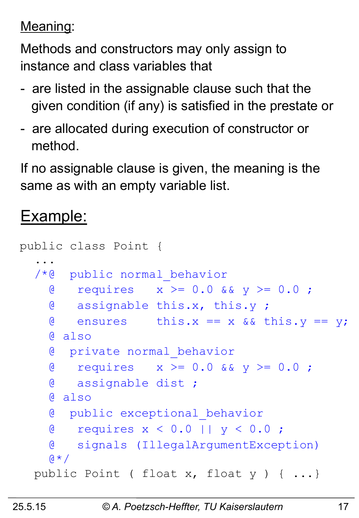### Meaning:

Methods and constructors may only assign to instance and class variables that

- are listed in the assignable clause such that the given condition (if any) is satisfied in the prestate or
- are allocated during execution of constructor or method.

If no assignable clause is given, the meaning is the same as with an empty variable list.

### Example:

```
public class Point { 
 ... 
   /*@ public normal_behavior
    \alpha requires x \ge 0.0 & y \ge 0.0;
     @ assignable this.x, this.y ; 
    \theta ensures this.x == x && this.y == y;
     @ also 
     @ private normal_behavior
    \alpha requires x \ge 0.0 & y \ge 0.0;
     @ assignable dist ; 
     @ also 
     @ public exceptional_behavior
     @ requires x < 0.0 || y < 0.0 ; 
     @ signals (IllegalArgumentException) 
    Q \star / public Point ( float x, float y ) { ...}
```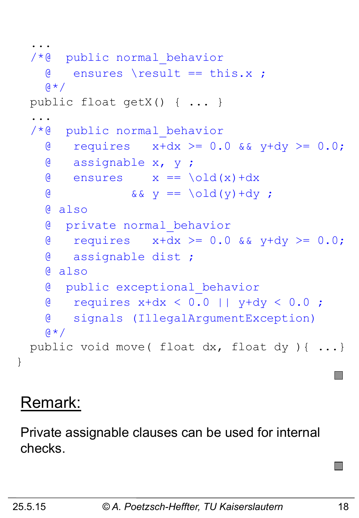```
 ... 
   /*@ public normal_behavior
     \theta ensures \result == this.x ;
    \mathfrak{g} \star / public float getX() { ... } 
 ... 
   /*@ public normal_behavior
     \alpha requires x+dx >= 0.0 && y+dy >= 0.0;
      @ assignable x, y ; 
     \theta ensures x == \text{old}(x) + dx& \& \& \& \& \end{bmatrix} = \begin{bmatrix} 0 \end{bmatrix} \begin{bmatrix} 0 \end{bmatrix} + dy;
      @ also 
      @ private normal_behavior
     \alpha requires x+dx >= 0.0 && y+dy >= 0.0;
      @ assignable dist ; 
      @ also 
      @ public exceptional_behavior
      @ requires x+dx < 0.0 || y+dy < 0.0 ; 
      @ signals (IllegalArgumentException) 
    Q \star / public void move( float dx, float dy ){ ...}
```
### Remark:

Private assignable clauses can be used for internal checks.

}

 $\mathcal{L}_{\mathcal{A}}$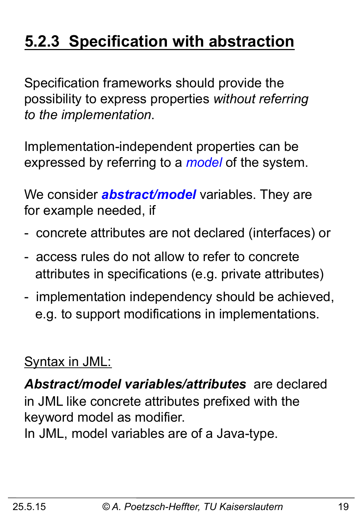## **5.2.3 Specification with abstraction**

Specification frameworks should provide the possibility to express properties *without referring to the implementation*.

Implementation-independent properties can be expressed by referring to a *model* of the system.

We consider *abstract/model* variables. They are for example needed, if

- concrete attributes are not declared (interfaces) or
- access rules do not allow to refer to concrete attributes in specifications (e.g. private attributes)
- implementation independency should be achieved, e.g. to support modifications in implementations.

### Syntax in JML:

*Abstract/model variables/attributes* are declared in JML like concrete attributes prefixed with the keyword model as modifier.

In JML, model variables are of a Java-type.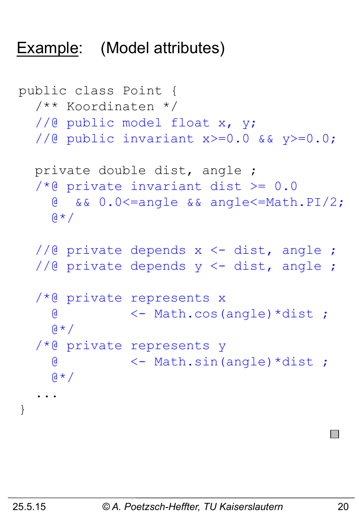### Example: (Model attributes)

```
public class Point { 
   /** Koordinaten */ 
  //@ public model float x, y;
   //@ public invariant x>=0.0 && y>=0.0; 
   private double dist, angle ; 
  /*@ private invariant dist >= 0.0 @ && 0.0<=angle && angle<=Math.PI/2; 
    \alpha \star /1/2 private depends x \leq dist, angle ;
  //@ private depends y <- dist, angle ;
   /*@ private represents x 
     @ <- Math.cos(angle)*dist ; 
    \theta \star / /*@ private represents y 
     @ <- Math.sin(angle)*dist ; 
    \alpha \star / ... 
}
```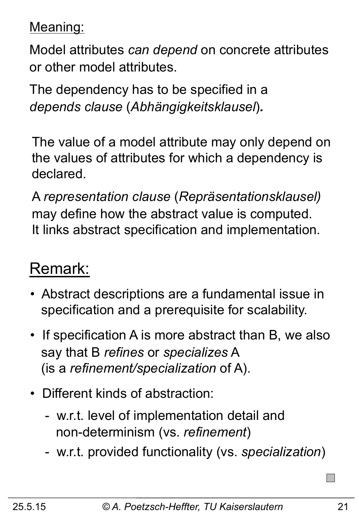Meaning:

Model attributes *can depend* on concrete attributes or other model attributes.

The dependency has to be specified in a *depends clause* (*Abhängigkeitsklausel*)*.* 

The value of a model attribute may only depend on the values of attributes for which a dependency is declared.

A *representation clause* (*Repräsentationsklausel)*  may define how the abstract value is computed. It links abstract specification and implementation.

### Remark:

- Abstract descriptions are a fundamental issue in specification and a prerequisite for scalability.
- If specification A is more abstract than B, we also say that B *refines* or *specializes* A (is a *refinement/specialization* of A).
- Different kinds of abstraction:
	- w.r.t. level of implementation detail and non-determinism (vs. *refinement*)
	- w.r.t. provided functionality (vs. *specialization*)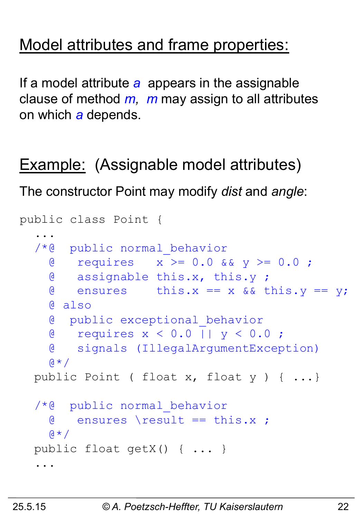### Model attributes and frame properties:

If a model attribute *a* appears in the assignable clause of method *m, m* may assign to all attributes on which *a* depends.

Example: (Assignable model attributes)

The constructor Point may modify *dist* and *angle*:

```
public class Point { 
 ... 
   /*@ public normal_behavior
     @ requires x >= 0.0 && y >= 0.0 ; 
     @ assignable this.x, this.y ; 
    \theta ensures this.x == x && this.y == y;
     @ also 
     @ public exceptional_behavior
     @ requires x < 0.0 || y < 0.0 ; 
     @ signals (IllegalArgumentException) 
    \alpha \star / public Point ( float x, float y ) { ...} 
   /*@ public normal_behavior
     @ ensures \result == this.x ; 
    \mathfrak{g} \star / public float getX() { ... } 
 ...
```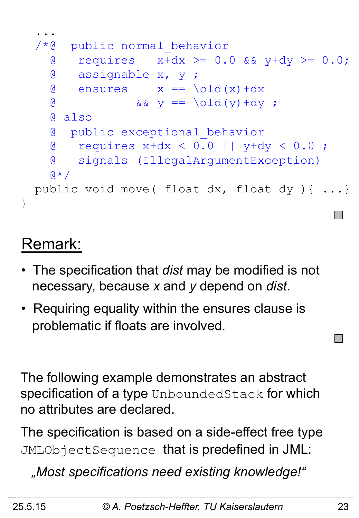

### Remark:

- The specification that *dist* may be modified is not necessary, because *x* and *y* depend on *dist*.
- Requiring equality within the ensures clause is problematic if floats are involved.

The following example demonstrates an abstract specification of a type UnboundedStack for which no attributes are declared.

The specification is based on a side-effect free type JMLObjectSequence that is predefined in JML:

 *"Most specifications need existing knowledge!"* 

 $\mathcal{L}^{\text{max}}$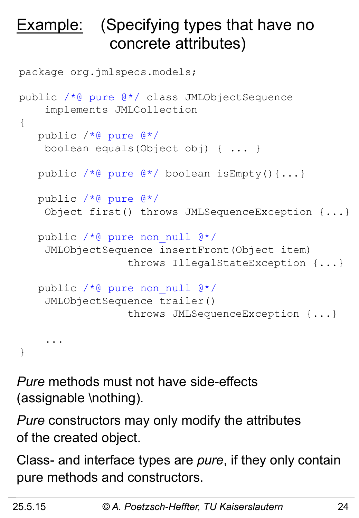## **Example:** (Specifying types that have no concrete attributes)

```
package org.jmlspecs.models; 
public /*@ pure @*/ class JMLObjectSequence
     implements JMLCollection
{ 
    public /*@ pure @*/ 
     boolean equals(Object obj) { ... } 
    public /*@ pure @*/ boolean isEmpty(){...} 
    public /*@ pure @*/ 
     Object first() throws JMLSequenceException {...} 
    public /*@ pure non_null @*/ 
     JMLObjectSequence insertFront(Object item) 
                   throws IllegalStateException {...} 
    public /*@ pure non_null @*/ 
     JMLObjectSequence trailer() 
                   throws JMLSequenceException {...} 
     ... 
}
```
*Pure* methods must not have side-effects (assignable \nothing).

*Pure* constructors may only modify the attributes of the created object.

Class- and interface types are *pure*, if they only contain pure methods and constructors.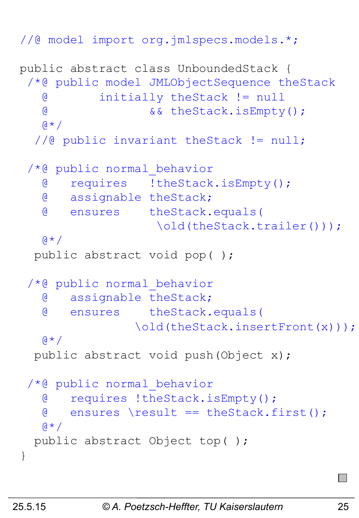```
//@ model import org.jmlspecs.models.*;
```

```
public abstract class UnboundedStack { 
  /*@ public model JMLObjectSequence theStack
    @ initially theStack != null 
    @ && theStack.isEmpty(); 
   (4 \times 7) //@ public invariant theStack != null; 
  /*@ public normal_behavior
    @ requires !theStack.isEmpty(); 
    @ assignable theStack; 
    @ ensures theStack.equals( 
                    \old(theStack.trailer()));
   Q \star / public abstract void pop( ); 
 /*@ public normal_behavior
    @ assignable theStack; 
    @ ensures theStack.equals( 
                 \old(theStack.insertFront(x)));
   \alpha \star / public abstract void push(Object x); 
 /*@ public normal_behavior
    @ requires !theStack.isEmpty(); 
    @ ensures \result == theStack.first(); 
   (4 \times 1) public abstract Object top( ); 
}
```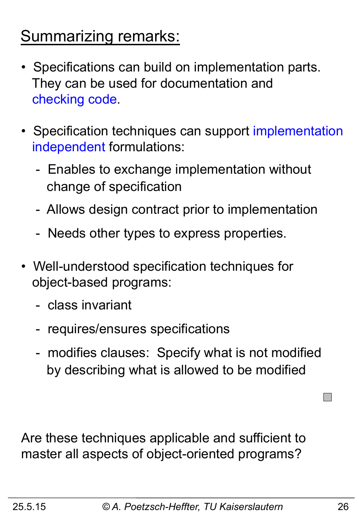### Summarizing remarks:

- Specifications can build on implementation parts. They can be used for documentation and checking code.
- Specification techniques can support implementation independent formulations:
	- Enables to exchange implementation without change of specification
	- Allows design contract prior to implementation
	- Needs other types to express properties.
- Well-understood specification techniques for object-based programs:
	- class invariant
	- requires/ensures specifications
	- modifies clauses: Specify what is not modified by describing what is allowed to be modified

Are these techniques applicable and sufficient to master all aspects of object-oriented programs?

**The State**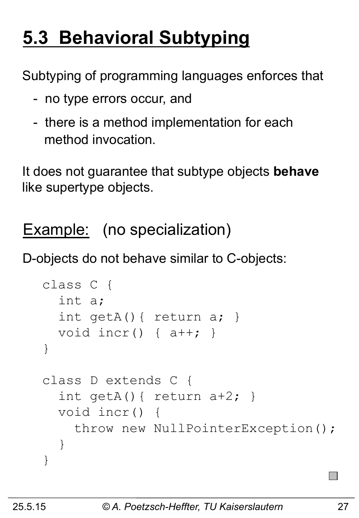## **5.3 Behavioral Subtyping**

Subtyping of programming languages enforces that

- no type errors occur, and
- there is a method implementation for each method invocation.

It does not guarantee that subtype objects **behave**  like supertype objects.

Example: (no specialization)

D-objects do not behave similar to C-objects:

```
class C { 
   int a; 
   int getA(){ return a; } 
   void incr() { a++; } 
} 
class D extends C { 
  int getA(){ return a+2; }
   void incr() { 
     throw new NullPointerException(); 
   } 
}
```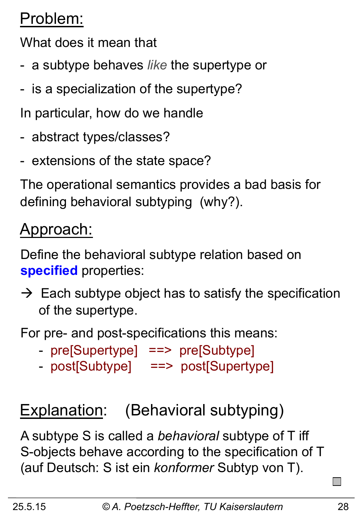## Problem:

What does it mean that

- a subtype behaves *like* the supertype or
- is a specialization of the supertype?

In particular, how do we handle

- abstract types/classes?
- extensions of the state space?

The operational semantics provides a bad basis for defining behavioral subtyping (why?).

### Approach:

Define the behavioral subtype relation based on **specified** properties:

 $\rightarrow$  Each subtype object has to satisfy the specification of the supertype.

For pre- and post-specifications this means:

- pre[Supertype] ==> pre[Subtype]
- post[Subtype] ==> post[Supertype]

## Explanation: (Behavioral subtyping)

A subtype S is called a *behavioral* subtype of T iff S-objects behave according to the specification of T (auf Deutsch: S ist ein *konformer* Subtyp von T).

 $\mathcal{L}^{\text{max}}$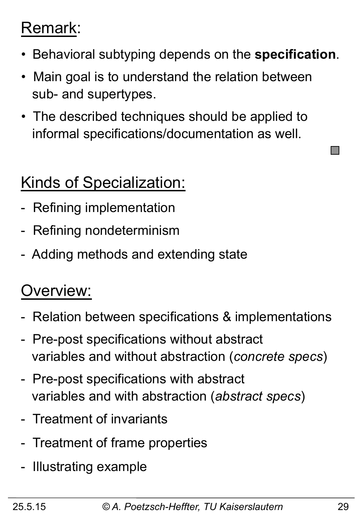### Remark:

- Behavioral subtyping depends on the **specification**.
- Main goal is to understand the relation between sub- and supertypes.
- The described techniques should be applied to informal specifications/documentation as well.

## Kinds of Specialization:

- Refining implementation
- Refining nondeterminism
- Adding methods and extending state

### Overview:

- Relation between specifications & implementations
- Pre-post specifications without abstract variables and without abstraction (*concrete specs*)
- Pre-post specifications with abstract variables and with abstraction (*abstract specs*)
- Treatment of invariants
- Treatment of frame properties
- Illustrating example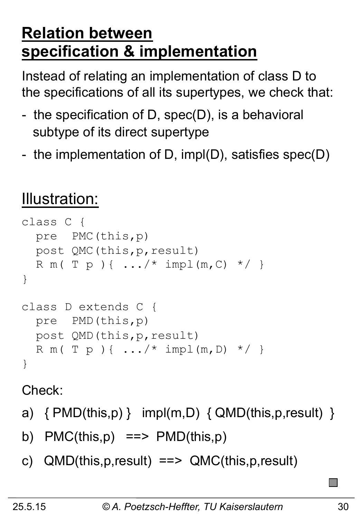### **Relation between specification & implementation**

Instead of relating an implementation of class D to the specifications of all its supertypes, we check that:

- the specification of D, spec(D), is a behavioral subtype of its direct supertype
- the implementation of D, impl(D), satisfies spec(D)

## Illustration:

```
class C { 
   pre PMC(this,p) 
   post QMC(this,p,result) 
  R m ( T p ) { .../ * impl (m, C) */ }
} 
class D extends C { 
   pre PMD(this,p) 
   post QMD(this,p,result) 
  R m ( T p ) { ... /* impl (m, D) */ }
}
```
Check:

- a)  $\{PMD(this,p)\}$  impl(m,D)  $\{QMD(this,p,result)\}$
- b)  $PMC(this,p) == > PMD(this,p)$
- c) QMD(this,p,result) ==> QMC(this,p,result)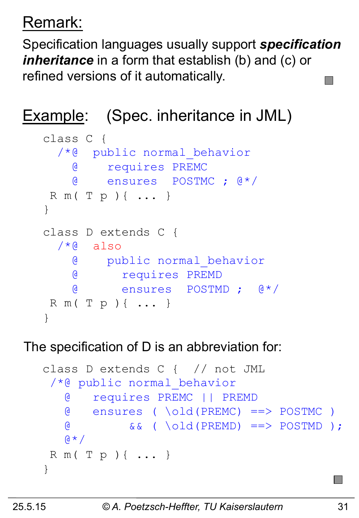## Remark:

Specification languages usually support *specification inheritance* in a form that establish (b) and (c) or refined versions of it automatically.

### Example: (Spec. inheritance in JML)

```
class C { 
   /*@ public normal_behavior
     @ requires PREMC 
     @ ensures POSTMC ; @*/ 
 R m( T p ){ ... } 
} 
class D extends C { 
  /*@ also
     @ public normal_behavior
     @ requires PREMD 
     @ ensures POSTMD ; @*/ 
 R m( T p ){ ... } 
}
```
### The specification of D is an abbreviation for:

```
class D extends C { // not JML 
 /*@ public normal_behavior 
    @ requires PREMC || PREMD 
    @ ensures ( \old(PREMC) ==> POSTMC ) 
    @ && ( \old(PREMD) ==> POSTMD ); 
   \mathsf{A} \star \mathsf{A} R m( T p ){ ... } 
}
```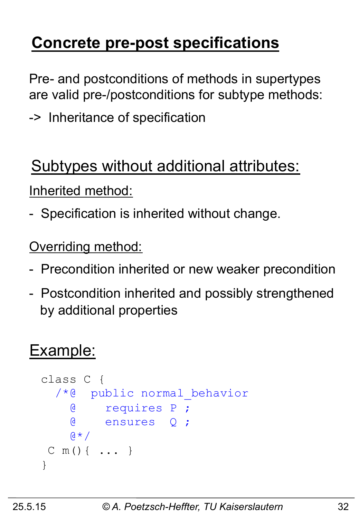## **Concrete pre-post specifications**

Pre- and postconditions of methods in supertypes are valid pre-/postconditions for subtype methods:

-> Inheritance of specification

### Subtypes without additional attributes:

Inherited method:

- Specification is inherited without change.

**Overriding method:** 

- Precondition inherited or new weaker precondition
- Postcondition inherited and possibly strengthened by additional properties

### Example:

```
class C { 
   /*@ public normal_behavior
      @ requires P ; 
      @ ensures Q ; 
     \mathfrak{g} \star / C m(){ ... } 
}
```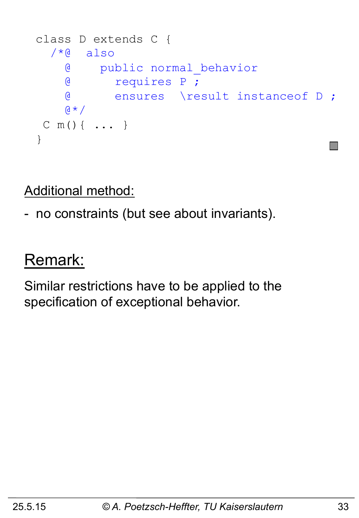```
class D extends C { 
  /*@ also
     @ public normal_behavior
     @ requires P ; 
     @ ensures \result instanceof D ; 
    \mathsf{A} \star \mathsf{A} C m(){ ... } 
}
```
Additional method:

- no constraints (but see about invariants).

### Remark:

Similar restrictions have to be applied to the specification of exceptional behavior.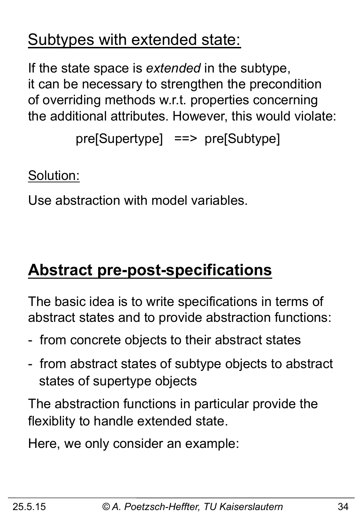### Subtypes with extended state:

If the state space is *extended* in the subtype, it can be necessary to strengthen the precondition of overriding methods w.r.t. properties concerning the additional attributes. However, this would violate:

pre[Supertype] ==> pre[Subtype]

Solution:

Use abstraction with model variables.

## **Abstract pre-post-specifications**

The basic idea is to write specifications in terms of abstract states and to provide abstraction functions:

- from concrete objects to their abstract states
- from abstract states of subtype objects to abstract states of supertype objects

The abstraction functions in particular provide the flexiblity to handle extended state.

Here, we only consider an example: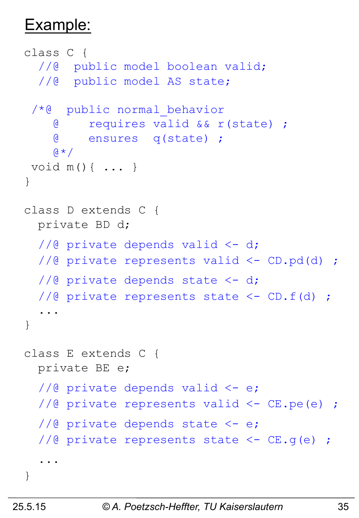### Example:

```
class C { 
  //@ public model boolean valid;
   //@ public model AS state; 
  /*@ public normal_behavior
     @ requires valid && r(state) ; 
     @ ensures q(state) ; 
    \mathsf{a} \star \mathsf{b} void m(){ ... } 
} 
class D extends C { 
   private BD d; 
  1/2 private depends valid \leq -d;
  //@ private represents valid <- CD.pd(d) ;
  1/2 private depends state \leq -d;
   //@ private represents state <- CD.f(d) ; 
 ... 
} 
class E extends C { 
   private BE e; 
  1/2 private depends valid \leq -e;
   //@ private represents valid <- CE.pe(e) ; 
  1/2 private depends state \leq e;
  //@ private represents state <- CE.g(e) ;
   ... 
}
```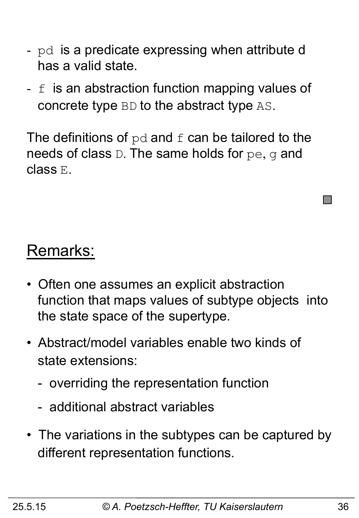- pd is a predicate expressing when attribute d has a valid state.
- $f$  is an abstraction function mapping values of concrete type BD to the abstract type AS.

The definitions of  $pd$  and  $f$  can be tailored to the needs of class D. The same holds for pe, q and class E.

### Remarks:

- Often one assumes an explicit abstraction function that maps values of subtype objects into the state space of the supertype.
- Abstract/model variables enable two kinds of state extensions:
	- overriding the representation function
	- additional abstract variables
- The variations in the subtypes can be captured by different representation functions.

 $\mathcal{L}^{\text{max}}$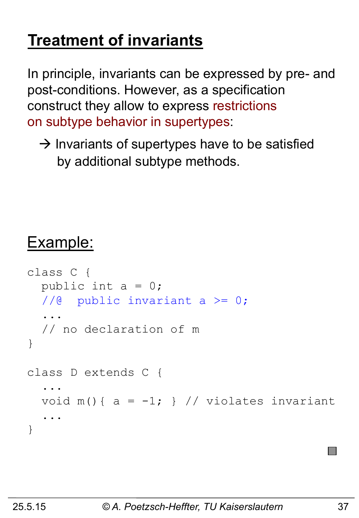## **Treatment of invariants**

In principle, invariants can be expressed by pre- and post-conditions. However, as a specification construct they allow to express restrictions on subtype behavior in supertypes:

 $\rightarrow$  Invariants of supertypes have to be satisfied by additional subtype methods.

### Example:

```
class C { 
  public int a = 0;
   //@ public invariant a >= 0; 
 ... 
   // no declaration of m 
} 
class D extends C { 
 ... 
  void m() { a = -1; } // violates invariant
   ... 
}
```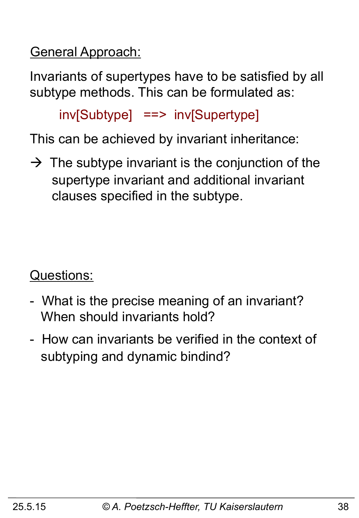General Approach:

Invariants of supertypes have to be satisfied by all subtype methods. This can be formulated as:

inv[Subtype] ==> inv[Supertype]

This can be achieved by invariant inheritance:

 $\rightarrow$  The subtype invariant is the conjunction of the supertype invariant and additional invariant clauses specified in the subtype.

Questions:

- What is the precise meaning of an invariant? When should invariants hold?
- How can invariants be verified in the context of subtyping and dynamic bindind?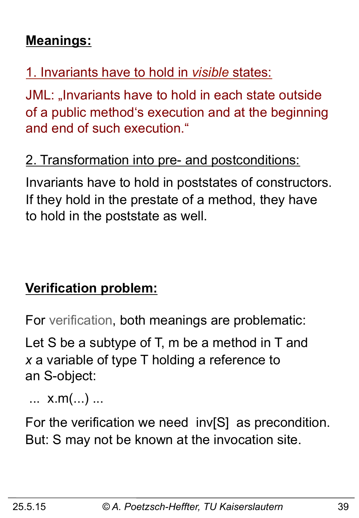### **Meanings:**

### 1. Invariants have to hold in *visible* states:

JML: "Invariants have to hold in each state outside of a public method's execution and at the beginning and end of such execution."

### 2. Transformation into pre- and postconditions:

Invariants have to hold in poststates of constructors. If they hold in the prestate of a method, they have to hold in the poststate as well.

### **Verification problem:**

For verification, both meanings are problematic:

Let S be a subtype of T, m be a method in T and *x* a variable of type T holding a reference to an S-object:

... x.m(...) ...

For the verification we need inv[S] as precondition. But: S may not be known at the invocation site.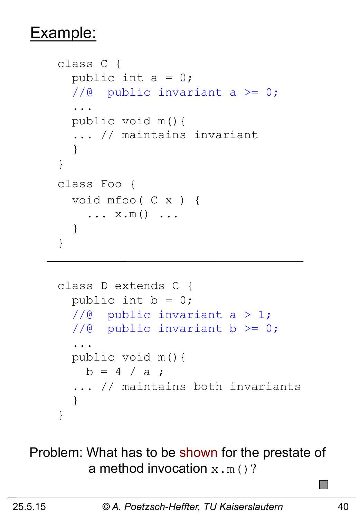### Example:

```
class C { 
  public int a = 0;
  //@ public invariant a >= 0;
   ... 
   public void m(){ 
   ... // maintains invariant 
   } 
} 
class Foo { 
   void mfoo( C x ) { 
     \ldots x.m() \ldots } 
}
```

```
class D extends C { 
  public int b = 0;
  1/@ public invariant a > 1;
  //@ public invariant b >= 0;
   ... 
   public void m(){ 
    b = 4 / a;
   ... // maintains both invariants 
   } 
}
```
### Problem: What has to be shown for the prestate of a method invocation  $x.m()$ ?

 $\mathcal{L}_{\mathcal{A}}$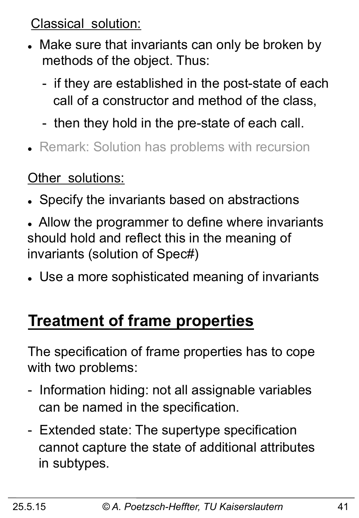Classical solution:

- Make sure that invariants can only be broken by methods of the object. Thus:
	- if they are established in the post-state of each call of a constructor and method of the class,
	- then they hold in the pre-state of each call.
- Remark: Solution has problems with recursion

### Other solutions:

- Specify the invariants based on abstractions
- Allow the programmer to define where invariants should hold and reflect this in the meaning of invariants (solution of Spec#)
- Use a more sophisticated meaning of invariants

### **Treatment of frame properties**

The specification of frame properties has to cope with two problems:

- Information hiding: not all assignable variables can be named in the specification.
- Extended state: The supertype specification cannot capture the state of additional attributes in subtypes.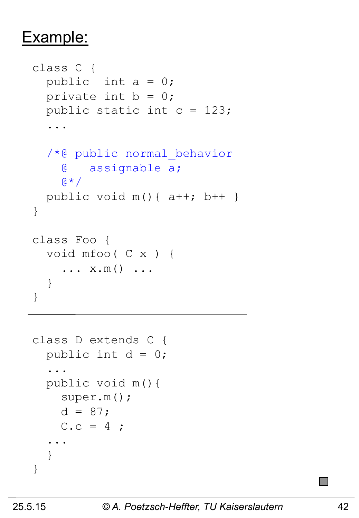### Example:

```
class C { 
  public int a = 0;
  private int b = 0;
   public static int c = 123; 
   ... 
   /*@ public normal_behavior
     @ assignable a; 
    \beta * /
  public void m() { a++; b++ }
} 
class Foo { 
   void mfoo( C x ) { 
     \ldots x.m() \ldots } 
}
```

```
class D extends C { 
  public int d = 0;
 ... 
   public void m(){ 
     super.m(); 
    d = 87;C.c = 4; ... 
   } 
}
```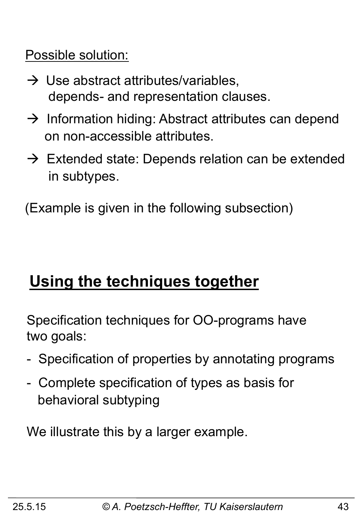Possible solution:

- $\rightarrow$  Use abstract attributes/variables, depends- and representation clauses.
- $\rightarrow$  Information hiding: Abstract attributes can depend on non-accessible attributes.
- $\rightarrow$  Extended state: Depends relation can be extended in subtypes.

(Example is given in the following subsection)

### **Using the techniques together**

Specification techniques for OO-programs have two goals:

- Specification of properties by annotating programs
- Complete specification of types as basis for behavioral subtyping

We illustrate this by a larger example.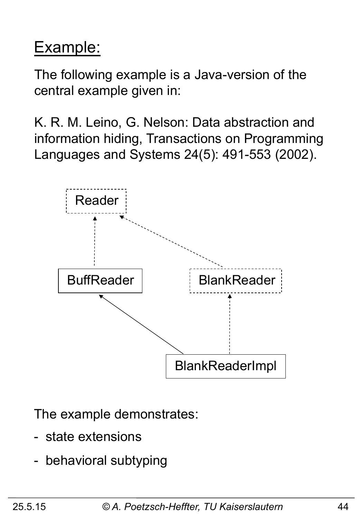## Example:

The following example is a Java-version of the central example given in:

K. R. M. Leino, G. Nelson: Data abstraction and information hiding, Transactions on Programming Languages and Systems 24(5): 491-553 (2002).



The example demonstrates:

- state extensions
- behavioral subtyping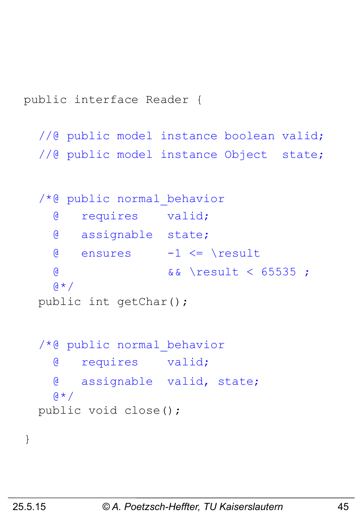public interface Reader {

//@ public model instance boolean valid; //@ public model instance Object state;

```
 /*@ public normal_behavior
   @ requires valid; 
   @ assignable state; 
  \theta ensures -1 \leq x result
   @ && \result < 65535 ; 
  \mathbf{A} \star \mathbf{A} public int getChar(); 
 /*@ public normal_behavior
   @ requires valid; 
   @ assignable valid, state; 
  \alpha \star / public void close();
```
}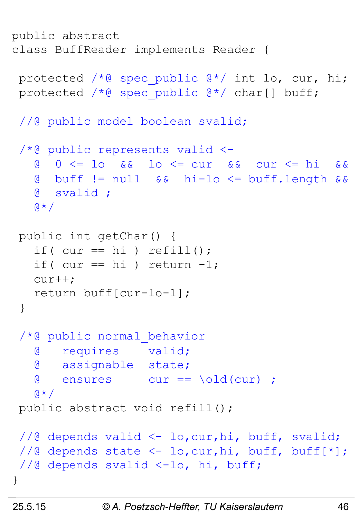```
public abstract 
class BuffReader implements Reader { 
 protected /* spec public @*/ int lo, cur, hi;
  protected /*@ spec_public @*/ char[] buff; 
 //@ public model boolean svalid;
  /*@ public represents valid <- 
    @ 0 <= lo && lo <= cur && cur <= hi && 
    @ buff != null && hi-lo <= buff.length && 
    @ svalid ; 
   \mathfrak{g} \star / public int getChar() { 
   if( cur == hi) refill();
   if( cur == hi) return -1;
    cur++; 
    return buff[cur-lo-1]; 
  } 
  /*@ public normal_behavior
    @ requires valid; 
    @ assignable state; 
    @ ensures cur == \old(cur) ; 
   \alpha \star / public abstract void refill(); 
 //@ depends valid <- lo, cur, hi, buff, svalid;
 //@ depends state \langle -\rangle lo, cur, hi, buff, buff[*];
  //@ depends svalid <-lo, hi, buff; 
}
```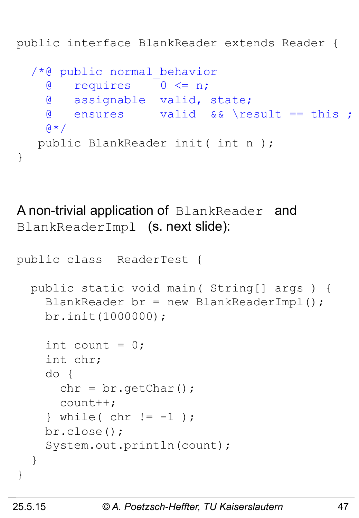public interface BlankReader extends Reader {

```
 /*@ public normal_behavior
   @ requires 0 <= n; 
   @ assignable valid, state; 
   @ ensures valid && \result == this ; 
  \mathbf{A} \star \mathbf{A} public BlankReader init( int n );
```
A non-trivial application of BlankReader and BlankReaderImpl (s. next slide):

```
public class ReaderTest { 
   public static void main( String[] args ) { 
    BlankReader br = new BlankReaderImpl();
     br.init(1000000); 
    int count = 0;
     int chr; 
     do { 
      chr = br.getChar();
       count++; 
    \} while( chr != -1 );
     br.close(); 
     System.out.println(count); 
   } 
}
```
}